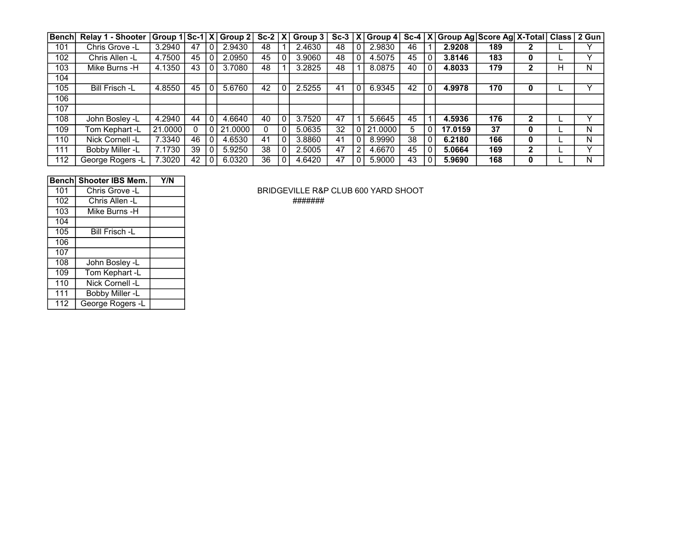| <b>Benchl</b> | Relay 1 - Shooter     |         |    |                | $ Group 1 Sc-1 X $ Group 2 | $Sc-2$ | l XI           | Group $3$ | $Sc-3$ $ X $ |          | Group 4  Sc-4   X |    | Group Ag Score Ag X-Total Class 2 Gun |     |              |   |   |
|---------------|-----------------------|---------|----|----------------|----------------------------|--------|----------------|-----------|--------------|----------|-------------------|----|---------------------------------------|-----|--------------|---|---|
| 101           | Chris Grove -L        | 3.2940  | 47 | $\Omega$       | 2.9430                     | 48     |                | 2.4630    | 48           |          | 2.9830            | 46 | 2.9208                                | 189 | 2            |   |   |
| 102           | Chris Allen -L        | 4.7500  | 45 | 0              | 2.0950                     | 45     | 0              | 3.9060    | 48           | 0        | 4.5075            | 45 | 3.8146                                | 183 | 0            |   |   |
| 103           | Mike Burns -H         | 4.1350  | 43 | 0              | 3.7080                     | 48     |                | 3.2825    | 48           |          | 8.0875            | 40 | 4.8033                                | 179 | າ            | н | N |
| 104           |                       |         |    |                |                            |        |                |           |              |          |                   |    |                                       |     |              |   |   |
| 105           | <b>Bill Frisch -L</b> | 4.8550  | 45 | 0              | 5.6760                     | 42     |                | 2.5255    | 41           | 0        | 6.9345            | 42 | 4.9978                                | 170 | 0            |   |   |
| 106           |                       |         |    |                |                            |        |                |           |              |          |                   |    |                                       |     |              |   |   |
| 107           |                       |         |    |                |                            |        |                |           |              |          |                   |    |                                       |     |              |   |   |
| 108           | John Bosley -L        | 4.2940  | 44 | 0              | 4.6640                     | 40     | $\overline{0}$ | 3.7520    | 47           |          | 5.6645            | 45 | 4.5936                                | 176 | $\mathbf{2}$ |   | v |
| 109           | Tom Kephart -L        | 21.0000 |    | $\overline{0}$ | 21.0000                    | 0      | 0              | 5.0635    | 32           |          | 21,0000           | 5  | 17.0159                               | 37  | 0            |   | N |
| 110           | Nick Cornell -L       | 7.3340  | 46 | 0              | 4.6530                     | 41     | 0              | 3.8860    | 41           | $\Omega$ | 8.9990            | 38 | 6.2180                                | 166 | 0            |   | N |
| 111           | Bobby Miller -L       | 7.1730  | 39 | 0              | 5.9250                     | 38     | 0              | 2.5005    | 47           | 2        | 4.6670            | 45 | 5.0664                                | 169 | 2            |   |   |
| 112           | George Rogers -L      | 7.3020  | 42 |                | 6.0320                     | 36     | 0              | 4.6420    | 47           |          | 5.9000            | 43 | 5.9690                                | 168 | 0            |   | N |

| <b>Bench</b> | <b>Shooter IBS Mem.</b> | Y/N |
|--------------|-------------------------|-----|
| 101          | Chris Grove -L          |     |
| 102          | Chris Allen -L          |     |
| 103          | Mike Burns -H           |     |
| 104          |                         |     |
| 105          | <b>Bill Frisch -L</b>   |     |
| 106          |                         |     |
| 107          |                         |     |
| 108          | John Bosley -L          |     |
| 109          | Tom Kephart -L          |     |
| 110          | Nick Cornell -L         |     |
| 111          | Bobby Miller -L         |     |
| 112          | George Rogers -L        |     |

BRIDGEVILLE R&P CLUB 600 YARD SHOOT Chris Allen -L #######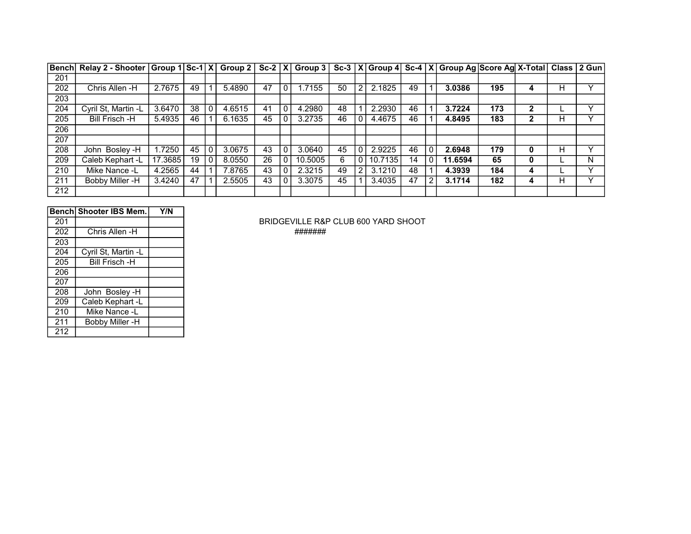|     | Bench Relay 2 - Shooter Group 1 Sc-1 X |         |    | Group 2 |    |         |    |                |         |    |   | Sc-2   X   Group 3   Sc-3   X   Group 4   Sc-4   X   Group Ag   Score Ag   X-Total |     |   |   | Class   2 Gun |
|-----|----------------------------------------|---------|----|---------|----|---------|----|----------------|---------|----|---|------------------------------------------------------------------------------------|-----|---|---|---------------|
| 201 |                                        |         |    |         |    |         |    |                |         |    |   |                                                                                    |     |   |   |               |
| 202 | Chris Allen -H                         | 2.7675  | 49 | 5.4890  | 47 | .7155   | 50 | $\overline{2}$ | 2.1825  | 49 |   | 3.0386                                                                             | 195 | 4 | н |               |
| 203 |                                        |         |    |         |    |         |    |                |         |    |   |                                                                                    |     |   |   |               |
| 204 | Cyril St, Martin -L                    | 3.6470  | 38 | 4.6515  | 41 | 4.2980  | 48 |                | 2.2930  | 46 |   | 3.7224                                                                             | 173 | 2 |   |               |
| 205 | Bill Frisch -H                         | 5.4935  | 46 | 6.1635  | 45 | 3.2735  | 46 | $\Omega$       | 4.4675  | 46 |   | 4.8495                                                                             | 183 | 2 | н |               |
| 206 |                                        |         |    |         |    |         |    |                |         |    |   |                                                                                    |     |   |   |               |
| 207 |                                        |         |    |         |    |         |    |                |         |    |   |                                                                                    |     |   |   |               |
| 208 | John Bosley -H                         | .7250   | 45 | 3.0675  | 43 | 3.0640  | 45 | $\Omega$       | 2.9225  | 46 |   | 2.6948                                                                             | 179 | 0 | н |               |
| 209 | Caleb Kephart -L                       | 17.3685 | 19 | 8.0550  | 26 | 10.5005 | 6  | 0 I            | 10.7135 | 14 |   | 11.6594                                                                            | 65  | 0 |   | N             |
| 210 | Mike Nance -L                          | 4.2565  | 44 | 7.8765  | 43 | 2.3215  | 49 | 2 <sub>1</sub> | 3.1210  | 48 |   | 4.3939                                                                             | 184 | 4 |   |               |
| 211 | Bobby Miller -H                        | 3.4240  | 47 | 2.5505  | 43 | 3.3075  | 45 |                | 3.4035  | 47 | 2 | 3.1714                                                                             | 182 | 4 | H |               |
| 212 |                                        |         |    |         |    |         |    |                |         |    |   |                                                                                    |     |   |   |               |

|     | Bench Shooter IBS Mem. | Y/N |
|-----|------------------------|-----|
| 201 |                        |     |
| 202 | Chris Allen -H         |     |
| 203 |                        |     |
| 204 | Cyril St, Martin -L    |     |
| 205 | <b>Bill Frisch -H</b>  |     |
| 206 |                        |     |
| 207 |                        |     |
| 208 | John Bosley -H         |     |
| 209 | Caleb Kephart -L       |     |
| 210 | Mike Nance -L          |     |
| 211 | Bobby Miller -H        |     |
| 212 |                        |     |

BRIDGEVILLE R&P CLUB 600 YARD SHOOT

Chris Allen -H #######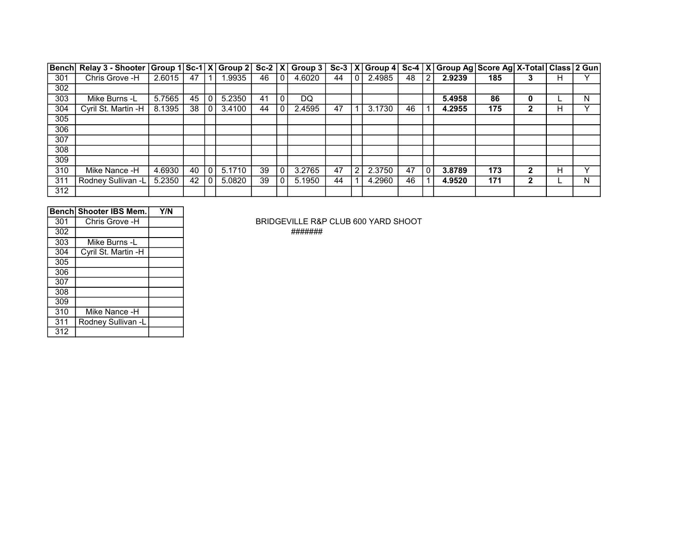| <b>Bench</b> | Relay 3 - Shooter Group 1 Sc-1 X Group 2 Sc-2 X Group 3 Sc-3 X Group 4 Sc-4 X |        |    |                |        |    |              |        |    |   |        |    |             | Group Ag Score Ag X-Total Class 2 Gun |     |   |   |   |
|--------------|-------------------------------------------------------------------------------|--------|----|----------------|--------|----|--------------|--------|----|---|--------|----|-------------|---------------------------------------|-----|---|---|---|
| 301          | Chris Grove -H                                                                | 2.6015 | 47 |                | .9935  | 46 | $\Omega$     | 4.6020 | 44 |   | 2.4985 | 48 | 2           | 2.9239                                | 185 |   | н |   |
| 302          |                                                                               |        |    |                |        |    |              |        |    |   |        |    |             |                                       |     |   |   |   |
| 303          | Mike Burns -L                                                                 | 5.7565 | 45 | $\overline{0}$ | 5.2350 | 41 | $\mathbf{0}$ | DQ.    |    |   |        |    |             | 5.4958                                | 86  | 0 |   | N |
| 304          | Cyril St. Martin -H                                                           | 8.1395 | 38 | 0              | 3.4100 | 44 |              | 2.4595 | 47 |   | 3.1730 | 46 |             | 4.2955                                | 175 | 2 | н |   |
| 305          |                                                                               |        |    |                |        |    |              |        |    |   |        |    |             |                                       |     |   |   |   |
| 306          |                                                                               |        |    |                |        |    |              |        |    |   |        |    |             |                                       |     |   |   |   |
| 307          |                                                                               |        |    |                |        |    |              |        |    |   |        |    |             |                                       |     |   |   |   |
| 308          |                                                                               |        |    |                |        |    |              |        |    |   |        |    |             |                                       |     |   |   |   |
| 309          |                                                                               |        |    |                |        |    |              |        |    |   |        |    |             |                                       |     |   |   |   |
| 310          | Mike Nance -H                                                                 | 4.6930 | 40 | $\overline{0}$ | 5.1710 | 39 | $\mathbf{0}$ | 3.2765 | 47 | 2 | 2.3750 | 47 | $\mathbf 0$ | 3.8789                                | 173 | 2 | н |   |
| 311          | Rodney Sullivan -L                                                            | 5.2350 | 42 | $\Omega$       | 5.0820 | 39 |              | 5.1950 | 44 |   | 4.2960 | 46 |             | 4.9520                                | 171 | 2 |   | N |
| 312          |                                                                               |        |    |                |        |    |              |        |    |   |        |    |             |                                       |     |   |   |   |

|     | Bench Shooter IBS Mem. | Y/N |
|-----|------------------------|-----|
| 301 | Chris Grove -H         |     |
| 302 |                        |     |
| 303 | Mike Burns -L          |     |
| 304 | Cyril St. Martin -H    |     |
| 305 |                        |     |
| 306 |                        |     |
| 307 |                        |     |
| 308 |                        |     |
| 309 |                        |     |
| 310 | Mike Nance -H          |     |
| 311 | Rodney Sullivan -L     |     |
| 312 |                        |     |

BRIDGEVILLE R&P CLUB 600 YARD SHOOT #######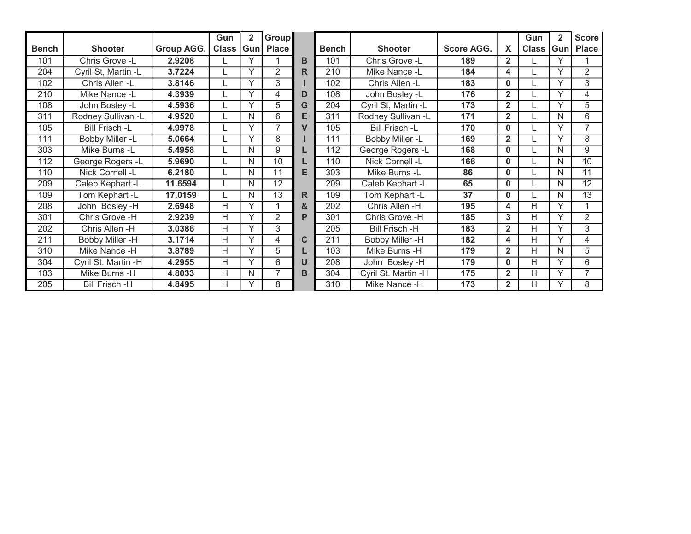|              |                       |            | Gun            | $\mathbf{2}$ | <b>Group</b>   |   |                  |                       |                   |                | Gun                     | 2            | <b>Score</b>   |
|--------------|-----------------------|------------|----------------|--------------|----------------|---|------------------|-----------------------|-------------------|----------------|-------------------------|--------------|----------------|
| <b>Bench</b> | <b>Shooter</b>        | Group AGG. | Class          | Gun          | <b>Place</b>   |   | <b>Bench</b>     | <b>Shooter</b>        | <b>Score AGG.</b> | X              | <b>Class</b>            | Gun          | <b>Place</b>   |
| 101          | Chris Grove -L        | 2.9208     |                | Υ            |                | в | 101              | Chris Grove -L        | 189               | $\mathbf{2}$   |                         | v            |                |
| 204          | Cyril St, Martin -L   | 3.7224     |                | Υ            | $\overline{2}$ | R | 210              | Mike Nance -L         | 184               | 4              |                         | $\checkmark$ | $\overline{2}$ |
| 102          | Chris Allen -L        | 3.8146     |                | Υ            | 3              |   | 102              | Chris Allen -L        | 183               | 0              |                         | $\checkmark$ | 3              |
| 210          | Mike Nance -L         | 4.3939     |                | Υ            | 4              | D | 108              | John Bosley -L        | 176               | $\mathbf{2}$   |                         | v            | 4              |
| 108          | John Bosley -L        | 4.5936     |                | Υ            | 5              | G | 204              | Cyril St, Martin -L   | 173               | $\overline{2}$ |                         |              | 5              |
| 311          | Rodney Sullivan -L    | 4.9520     |                | N            | 6              | E | 311              | Rodney Sullivan -L    | 171               | $\overline{2}$ |                         | N            | 6              |
| 105          | <b>Bill Frisch -L</b> | 4.9978     |                | Υ            | $\overline{7}$ | V | 105              | <b>Bill Frisch -L</b> | 170               | $\bf{0}$       |                         | $\checkmark$ | 7              |
| 111          | Bobby Miller -L       | 5.0664     |                | Υ            | 8              |   | 111              | Bobby Miller -L       | 169               | $\mathbf 2$    |                         | $\checkmark$ | 8              |
| 303          | Mike Burns -L         | 5.4958     |                | N            | 9              |   | 112              | George Rogers -L      | 168               | $\bf{0}$       |                         | N            | 9              |
| 112          | George Rogers -L      | 5.9690     |                | N            | 10             |   | 110              | Nick Cornell -L       | 166               | $\Omega$       |                         | N            | 10             |
| 110          | Nick Cornell -L       | 6.2180     |                | N            | 11             | E | 303              | Mike Burns -L         | 86                | $\Omega$       |                         | N            | 11             |
| 209          | Caleb Kephart -L      | 11.6594    |                | N            | 12             |   | 209              | Caleb Kephart -L      | 65                | $\bf{0}$       |                         | N            | 12             |
| 109          | Tom Kephart -L        | 17.0159    |                | N            | 13             | R | 109              | Tom Kephart -L        | 37                | $\bf{0}$       |                         | N            | 13             |
| 208          | John Bosley-H         | 2.6948     | $\overline{H}$ | Y            |                | & | $\overline{202}$ | Chris Allen -H        | 195               | 4              | $\overline{\mathsf{H}}$ | Υ            |                |
| 301          | Chris Grove -H        | 2.9239     | H              | Υ            | $\overline{2}$ | P | 301              | Chris Grove -H        | 185               | 3              | н                       | $\checkmark$ | 2              |
| 202          | Chris Allen -H        | 3.0386     | Н              | Υ            | 3              |   | 205              | Bill Frisch -H        | 183               | $\mathbf{2}$   | Н                       |              | 3              |
| 211          | Bobby Miller -H       | 3.1714     | Н              | Υ            | 4              | С | 211              | Bobby Miller -H       | 182               | 4              | Н                       | v            | 4              |
| 310          | Mike Nance -H         | 3.8789     | Н              | Y            | 5              |   | 103              | Mike Burns -H         | 179               | $\mathbf{2}$   | H                       | N            | 5              |
| 304          | Cyril St. Martin -H   | 4.2955     | H              | Υ            | 6              | U | 208              | John Bosley -H        | 179               | $\bf{0}$       | Η                       | v            | 6              |
| 103          | Mike Burns -H         | 4.8033     | H              | N            | 7              | в | 304              | Cyril St. Martin -H   | 175               | 2              | Н                       | v            | 7              |
| 205          | <b>Bill Frisch -H</b> | 4.8495     | H              | Υ            | 8              |   | 310              | Mike Nance -H         | 173               | $\overline{2}$ | Н                       |              | 8              |